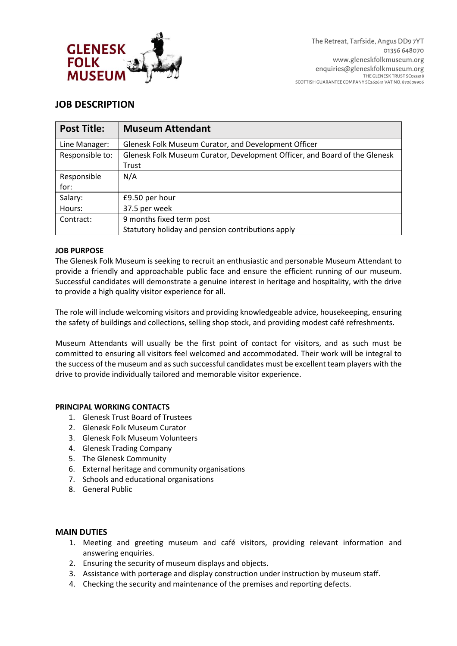

# **JOB DESCRIPTION**

| <b>Post Title:</b> | <b>Museum Attendant</b>                                                    |  |  |
|--------------------|----------------------------------------------------------------------------|--|--|
| Line Manager:      | Glenesk Folk Museum Curator, and Development Officer                       |  |  |
| Responsible to:    | Glenesk Folk Museum Curator, Development Officer, and Board of the Glenesk |  |  |
|                    | Trust                                                                      |  |  |
| Responsible        | N/A                                                                        |  |  |
| for:               |                                                                            |  |  |
| Salary:            | £9.50 per hour                                                             |  |  |
| Hours:             | 37.5 per week                                                              |  |  |
| Contract:          | 9 months fixed term post                                                   |  |  |
|                    | Statutory holiday and pension contributions apply                          |  |  |

## **JOB PURPOSE**

The Glenesk Folk Museum is seeking to recruit an enthusiastic and personable Museum Attendant to provide a friendly and approachable public face and ensure the efficient running of our museum. Successful candidates will demonstrate a genuine interest in heritage and hospitality, with the drive to provide a high quality visitor experience for all.

The role will include welcoming visitors and providing knowledgeable advice, housekeeping, ensuring the safety of buildings and collections, selling shop stock, and providing modest café refreshments.

Museum Attendants will usually be the first point of contact for visitors, and as such must be committed to ensuring all visitors feel welcomed and accommodated. Their work will be integral to the success of the museum and as such successful candidates must be excellent team players with the drive to provide individually tailored and memorable visitor experience.

### **PRINCIPAL WORKING CONTACTS**

- 1. Glenesk Trust Board of Trustees
- 2. Glenesk Folk Museum Curator
- 3. Glenesk Folk Museum Volunteers
- 4. Glenesk Trading Company
- 5. The Glenesk Community
- 6. External heritage and community organisations
- 7. Schools and educational organisations
- 8. General Public

## **MAIN DUTIES**

- 1. Meeting and greeting museum and café visitors, providing relevant information and answering enquiries.
- 2. Ensuring the security of museum displays and objects.
- 3. Assistance with porterage and display construction under instruction by museum staff.
- 4. Checking the security and maintenance of the premises and reporting defects.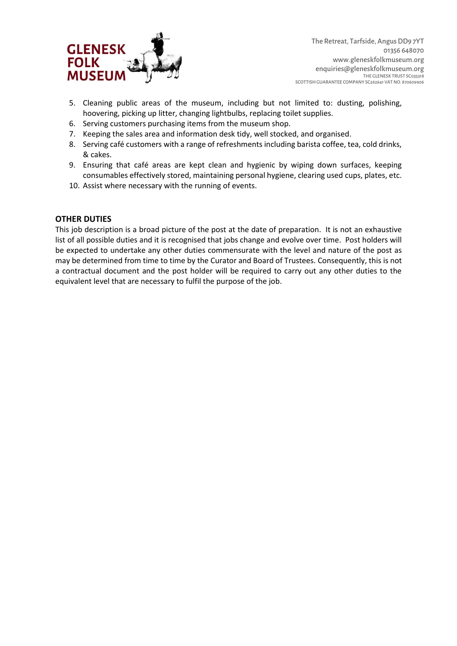

- 5. Cleaning public areas of the museum, including but not limited to: dusting, polishing, hoovering, picking up litter, changing lightbulbs, replacing toilet supplies.
- 6. Serving customers purchasing items from the museum shop.
- 7. Keeping the sales area and information desk tidy, well stocked, and organised.
- 8. Serving café customers with a range of refreshments including barista coffee, tea, cold drinks, & cakes.
- 9. Ensuring that café areas are kept clean and hygienic by wiping down surfaces, keeping consumables effectively stored, maintaining personal hygiene, clearing used cups, plates, etc.
- 10. Assist where necessary with the running of events.

## **OTHER DUTIES**

This job description is a broad picture of the post at the date of preparation. It is not an exhaustive list of all possible duties and it is recognised that jobs change and evolve over time. Post holders will be expected to undertake any other duties commensurate with the level and nature of the post as may be determined from time to time by the Curator and Board of Trustees. Consequently, this is not a contractual document and the post holder will be required to carry out any other duties to the equivalent level that are necessary to fulfil the purpose of the job.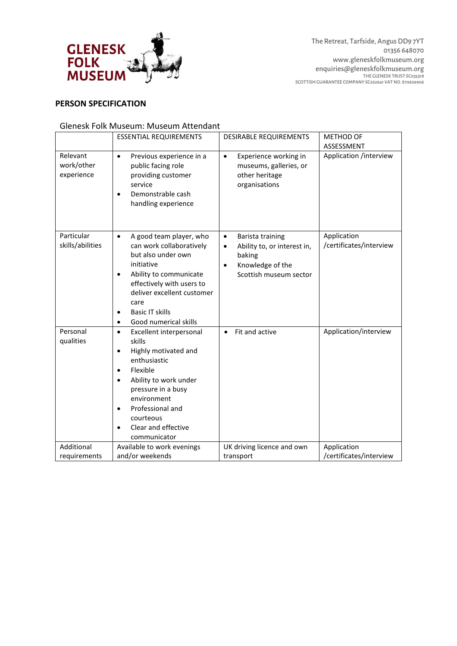

# **PERSON SPECIFICATION**

### Glenesk Folk Museum: Museum Attendant

|                                      | <b>ESSENTIAL REQUIREMENTS</b>                                                                                                                                                                                                                                                                | <b>DESIRABLE REQUIREMENTS</b>                                                                                                                  | <b>METHOD OF</b>                       |
|--------------------------------------|----------------------------------------------------------------------------------------------------------------------------------------------------------------------------------------------------------------------------------------------------------------------------------------------|------------------------------------------------------------------------------------------------------------------------------------------------|----------------------------------------|
|                                      |                                                                                                                                                                                                                                                                                              |                                                                                                                                                | ASSESSMENT                             |
| Relevant<br>work/other<br>experience | Previous experience in a<br>$\bullet$<br>public facing role<br>providing customer<br>service<br>Demonstrable cash<br>handling experience                                                                                                                                                     | Experience working in<br>$\bullet$<br>museums, galleries, or<br>other heritage<br>organisations                                                | Application /interview                 |
| Particular<br>skills/abilities       | A good team player, who<br>$\bullet$<br>can work collaboratively<br>but also under own<br>initiative<br>Ability to communicate<br>effectively with users to<br>deliver excellent customer<br>care<br><b>Basic IT skills</b><br>Good numerical skills                                         | Barista training<br>$\bullet$<br>Ability to, or interest in,<br>$\bullet$<br>baking<br>Knowledge of the<br>$\bullet$<br>Scottish museum sector | Application<br>/certificates/interview |
| Personal<br>qualities                | Excellent interpersonal<br>$\bullet$<br>skills<br>Highly motivated and<br>$\bullet$<br>enthusiastic<br>Flexible<br>$\bullet$<br>Ability to work under<br>$\bullet$<br>pressure in a busy<br>environment<br>Professional and<br>$\bullet$<br>courteous<br>Clear and effective<br>communicator | Fit and active<br>$\bullet$                                                                                                                    | Application/interview                  |
| Additional                           | Available to work evenings                                                                                                                                                                                                                                                                   | UK driving licence and own                                                                                                                     | Application                            |
| requirements                         | and/or weekends                                                                                                                                                                                                                                                                              | transport                                                                                                                                      | /certificates/interview                |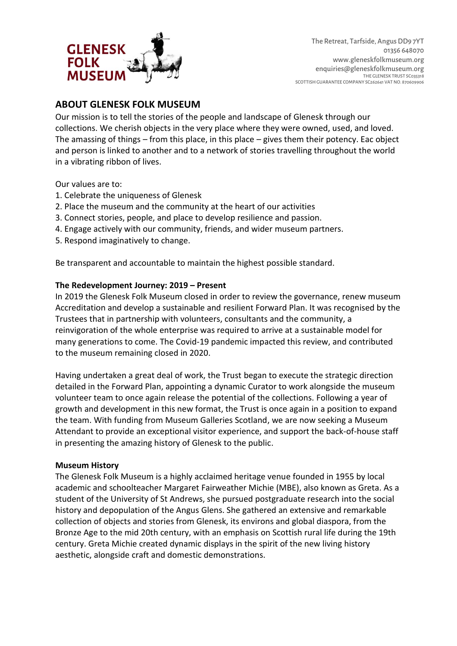

# **ABOUT GLENESK FOLK MUSEUM**

Our mission is to tell the stories of the people and landscape of Glenesk through our collections. We cherish objects in the very place where they were owned, used, and loved. The amassing of things – from this place, in this place – gives them their potency. Eac object and person is linked to another and to a network of stories travelling throughout the world in a vibrating ribbon of lives.

Our values are to:

- 1. Celebrate the uniqueness of Glenesk
- 2. Place the museum and the community at the heart of our activities
- 3. Connect stories, people, and place to develop resilience and passion.
- 4. Engage actively with our community, friends, and wider museum partners.
- 5. Respond imaginatively to change.

Be transparent and accountable to maintain the highest possible standard.

## **The Redevelopment Journey: 2019 – Present**

In 2019 the Glenesk Folk Museum closed in order to review the governance, renew museum Accreditation and develop a sustainable and resilient Forward Plan. It was recognised by the Trustees that in partnership with volunteers, consultants and the community, a reinvigoration of the whole enterprise was required to arrive at a sustainable model for many generations to come. The Covid-19 pandemic impacted this review, and contributed to the museum remaining closed in 2020.

Having undertaken a great deal of work, the Trust began to execute the strategic direction detailed in the Forward Plan, appointing a dynamic Curator to work alongside the museum volunteer team to once again release the potential of the collections. Following a year of growth and development in this new format, the Trust is once again in a position to expand the team. With funding from Museum Galleries Scotland, we are now seeking a Museum Attendant to provide an exceptional visitor experience, and support the back-of-house staff in presenting the amazing history of Glenesk to the public.

#### **Museum History**

The Glenesk Folk Museum is a highly acclaimed heritage venue founded in 1955 by local academic and schoolteacher Margaret Fairweather Michie (MBE), also known as Greta. As a student of the University of St Andrews, she pursued postgraduate research into the social history and depopulation of the Angus Glens. She gathered an extensive and remarkable collection of objects and stories from Glenesk, its environs and global diaspora, from the Bronze Age to the mid 20th century, with an emphasis on Scottish rural life during the 19th century. Greta Michie created dynamic displays in the spirit of the new living history aesthetic, alongside craft and domestic demonstrations.